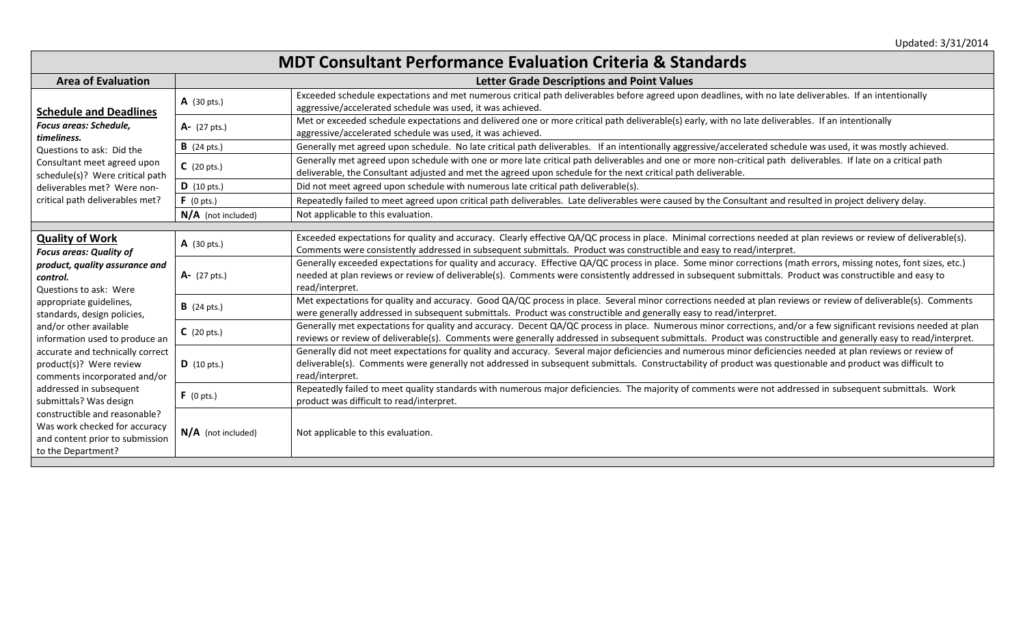## **MDT Consultant Performance Evaluation Criteria & Standards**

| <b>Area of Evaluation</b>                                                                                                                                                                                                                                                                                                                                                                                                                                                                                                             | <b>Letter Grade Descriptions and Point Values</b> |                                                                                                                                                                                                                                                                                                                                                  |  |
|---------------------------------------------------------------------------------------------------------------------------------------------------------------------------------------------------------------------------------------------------------------------------------------------------------------------------------------------------------------------------------------------------------------------------------------------------------------------------------------------------------------------------------------|---------------------------------------------------|--------------------------------------------------------------------------------------------------------------------------------------------------------------------------------------------------------------------------------------------------------------------------------------------------------------------------------------------------|--|
| <b>Schedule and Deadlines</b><br>Focus areas: Schedule,<br>timeliness.<br>Questions to ask: Did the<br>Consultant meet agreed upon<br>schedule(s)? Were critical path<br>deliverables met? Were non-<br>critical path deliverables met?                                                                                                                                                                                                                                                                                               | $A$ (30 pts.)                                     | Exceeded schedule expectations and met numerous critical path deliverables before agreed upon deadlines, with no late deliverables. If an intentionally<br>aggressive/accelerated schedule was used, it was achieved.                                                                                                                            |  |
|                                                                                                                                                                                                                                                                                                                                                                                                                                                                                                                                       | $A - (27 \text{ pts.})$                           | Met or exceeded schedule expectations and delivered one or more critical path deliverable(s) early, with no late deliverables. If an intentionally<br>aggressive/accelerated schedule was used, it was achieved.                                                                                                                                 |  |
|                                                                                                                                                                                                                                                                                                                                                                                                                                                                                                                                       | <b>B</b> (24 pts.)                                | Generally met agreed upon schedule. No late critical path deliverables. If an intentionally aggressive/accelerated schedule was used, it was mostly achieved.                                                                                                                                                                                    |  |
|                                                                                                                                                                                                                                                                                                                                                                                                                                                                                                                                       | $C$ (20 pts.)                                     | Generally met agreed upon schedule with one or more late critical path deliverables and one or more non-critical path deliverables. If late on a critical path<br>deliverable, the Consultant adjusted and met the agreed upon schedule for the next critical path deliverable.                                                                  |  |
|                                                                                                                                                                                                                                                                                                                                                                                                                                                                                                                                       | <b>D</b> (10 pts.)                                | Did not meet agreed upon schedule with numerous late critical path deliverable(s).                                                                                                                                                                                                                                                               |  |
|                                                                                                                                                                                                                                                                                                                                                                                                                                                                                                                                       | $F(0 \text{ pts.})$                               | Repeatedly failed to meet agreed upon critical path deliverables. Late deliverables were caused by the Consultant and resulted in project delivery delay.                                                                                                                                                                                        |  |
|                                                                                                                                                                                                                                                                                                                                                                                                                                                                                                                                       | $N/A$ (not included)                              | Not applicable to this evaluation.                                                                                                                                                                                                                                                                                                               |  |
|                                                                                                                                                                                                                                                                                                                                                                                                                                                                                                                                       |                                                   |                                                                                                                                                                                                                                                                                                                                                  |  |
| <b>Quality of Work</b><br><b>Focus areas: Quality of</b><br>product, quality assurance and<br>control.<br>Questions to ask: Were<br>appropriate guidelines,<br>standards, design policies,<br>and/or other available<br>information used to produce an<br>accurate and technically correct<br>product(s)? Were review<br>comments incorporated and/or<br>addressed in subsequent<br>submittals? Was design<br>constructible and reasonable?<br>Was work checked for accuracy<br>and content prior to submission<br>to the Department? | $A$ (30 pts.)                                     | Exceeded expectations for quality and accuracy. Clearly effective QA/QC process in place. Minimal corrections needed at plan reviews or review of deliverable(s).<br>Comments were consistently addressed in subsequent submittals. Product was constructible and easy to read/interpret.                                                        |  |
|                                                                                                                                                                                                                                                                                                                                                                                                                                                                                                                                       | $A - (27 \text{ pts.})$                           | Generally exceeded expectations for quality and accuracy. Effective QA/QC process in place. Some minor corrections (math errors, missing notes, font sizes, etc.)<br>needed at plan reviews or review of deliverable(s). Comments were consistently addressed in subsequent submittals. Product was constructible and easy to<br>read/interpret. |  |
|                                                                                                                                                                                                                                                                                                                                                                                                                                                                                                                                       | <b>B</b> (24 pts.)                                | Met expectations for quality and accuracy. Good QA/QC process in place. Several minor corrections needed at plan reviews or review of deliverable(s). Comments<br>were generally addressed in subsequent submittals. Product was constructible and generally easy to read/interpret.                                                             |  |
|                                                                                                                                                                                                                                                                                                                                                                                                                                                                                                                                       | $C$ (20 pts.)                                     | Generally met expectations for quality and accuracy. Decent QA/QC process in place. Numerous minor corrections, and/or a few significant revisions needed at plan<br>reviews or review of deliverable(s). Comments were generally addressed in subsequent submittals. Product was constructible and generally easy to read/interpret.            |  |
|                                                                                                                                                                                                                                                                                                                                                                                                                                                                                                                                       | <b>D</b> (10 pts.)                                | Generally did not meet expectations for quality and accuracy. Several major deficiencies and numerous minor deficiencies needed at plan reviews or review of<br>deliverable(s). Comments were generally not addressed in subsequent submittals. Constructability of product was questionable and product was difficult to<br>read/interpret.     |  |
|                                                                                                                                                                                                                                                                                                                                                                                                                                                                                                                                       | $F(0 \text{ pts.})$                               | Repeatedly failed to meet quality standards with numerous major deficiencies. The majority of comments were not addressed in subsequent submittals. Work<br>product was difficult to read/interpret.                                                                                                                                             |  |
|                                                                                                                                                                                                                                                                                                                                                                                                                                                                                                                                       | $N/A$ (not included)                              | Not applicable to this evaluation.                                                                                                                                                                                                                                                                                                               |  |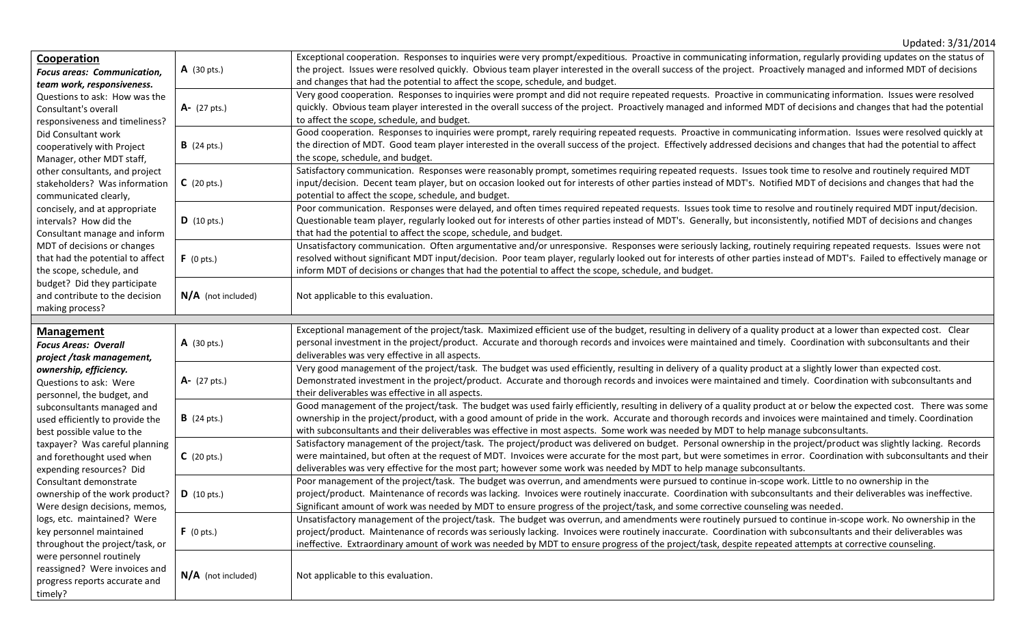|                                                                                                                                                                                                                                                                                                                                                                                                                                                                                                                                                                                                                                                                                         |                      | Updated: 3/31/2014                                                                                                                                                                                                                                                                                                                                                                                                                                                                       |
|-----------------------------------------------------------------------------------------------------------------------------------------------------------------------------------------------------------------------------------------------------------------------------------------------------------------------------------------------------------------------------------------------------------------------------------------------------------------------------------------------------------------------------------------------------------------------------------------------------------------------------------------------------------------------------------------|----------------------|------------------------------------------------------------------------------------------------------------------------------------------------------------------------------------------------------------------------------------------------------------------------------------------------------------------------------------------------------------------------------------------------------------------------------------------------------------------------------------------|
| Cooperation<br><b>Focus areas: Communication,</b><br>team work, responsiveness.<br>Questions to ask: How was the<br>Consultant's overall<br>responsiveness and timeliness?<br>Did Consultant work<br>cooperatively with Project<br>Manager, other MDT staff,<br>other consultants, and project<br>stakeholders? Was information<br>communicated clearly,<br>concisely, and at appropriate<br>intervals? How did the<br>Consultant manage and inform<br>MDT of decisions or changes<br>that had the potential to affect<br>the scope, schedule, and<br>budget? Did they participate<br>and contribute to the decision<br>making process?                                                 | $A$ (30 pts.)        | Exceptional cooperation. Responses to inquiries were very prompt/expeditious. Proactive in communicating information, regularly providing updates on the status of<br>the project. Issues were resolved quickly. Obvious team player interested in the overall success of the project. Proactively managed and informed MDT of decisions<br>and changes that had the potential to affect the scope, schedule, and budget.                                                                |
|                                                                                                                                                                                                                                                                                                                                                                                                                                                                                                                                                                                                                                                                                         | A- (27 pts.)         | Very good cooperation. Responses to inquiries were prompt and did not require repeated requests. Proactive in communicating information. Issues were resolved<br>quickly. Obvious team player interested in the overall success of the project. Proactively managed and informed MDT of decisions and changes that had the potential<br>to affect the scope, schedule, and budget.                                                                                                       |
|                                                                                                                                                                                                                                                                                                                                                                                                                                                                                                                                                                                                                                                                                         | <b>B</b> (24 pts.)   | Good cooperation. Responses to inquiries were prompt, rarely requiring repeated requests. Proactive in communicating information. Issues were resolved quickly at<br>the direction of MDT. Good team player interested in the overall success of the project. Effectively addressed decisions and changes that had the potential to affect<br>the scope, schedule, and budget.                                                                                                           |
|                                                                                                                                                                                                                                                                                                                                                                                                                                                                                                                                                                                                                                                                                         | $C$ (20 pts.)        | Satisfactory communication. Responses were reasonably prompt, sometimes requiring repeated requests. Issues took time to resolve and routinely required MDT<br>input/decision. Decent team player, but on occasion looked out for interests of other parties instead of MDT's. Notified MDT of decisions and changes that had the<br>potential to affect the scope, schedule, and budget.                                                                                                |
|                                                                                                                                                                                                                                                                                                                                                                                                                                                                                                                                                                                                                                                                                         | $D$ (10 pts.)        | Poor communication. Responses were delayed, and often times required repeated requests. Issues took time to resolve and routinely required MDT input/decision.<br>Questionable team player, regularly looked out for interests of other parties instead of MDT's. Generally, but inconsistently, notified MDT of decisions and changes<br>that had the potential to affect the scope, schedule, and budget.                                                                              |
|                                                                                                                                                                                                                                                                                                                                                                                                                                                                                                                                                                                                                                                                                         | F(0pts.)             | Unsatisfactory communication. Often argumentative and/or unresponsive. Responses were seriously lacking, routinely requiring repeated requests. Issues were not<br>resolved without significant MDT input/decision. Poor team player, regularly looked out for interests of other parties instead of MDT's. Failed to effectively manage or<br>inform MDT of decisions or changes that had the potential to affect the scope, schedule, and budget.                                      |
|                                                                                                                                                                                                                                                                                                                                                                                                                                                                                                                                                                                                                                                                                         | $N/A$ (not included) | Not applicable to this evaluation.                                                                                                                                                                                                                                                                                                                                                                                                                                                       |
| <b>Management</b><br><b>Focus Areas: Overall</b><br>project /task management,<br>ownership, efficiency.<br>Questions to ask: Were<br>personnel, the budget, and<br>subconsultants managed and<br>used efficiently to provide the<br>best possible value to the<br>taxpayer? Was careful planning<br>and forethought used when<br>expending resources? Did<br>Consultant demonstrate<br>ownership of the work product? $\vert D \vert$ (10 pts.)<br>Were design decisions, memos,<br>logs, etc. maintained? Were<br>key personnel maintained<br>throughout the project/task, or<br>were personnel routinely<br>reassigned? Were invoices and<br>progress reports accurate and<br>timely? | $A$ (30 pts.)        | Exceptional management of the project/task. Maximized efficient use of the budget, resulting in delivery of a quality product at a lower than expected cost. Clear<br>personal investment in the project/product. Accurate and thorough records and invoices were maintained and timely. Coordination with subconsultants and their<br>deliverables was very effective in all aspects.                                                                                                   |
|                                                                                                                                                                                                                                                                                                                                                                                                                                                                                                                                                                                                                                                                                         | $A - (27)$ pts.)     | Very good management of the project/task. The budget was used efficiently, resulting in delivery of a quality product at a slightly lower than expected cost.<br>Demonstrated investment in the project/product. Accurate and thorough records and invoices were maintained and timely. Coordination with subconsultants and<br>their deliverables was effective in all aspects.                                                                                                         |
|                                                                                                                                                                                                                                                                                                                                                                                                                                                                                                                                                                                                                                                                                         | <b>B</b> (24 pts.)   | Good management of the project/task. The budget was used fairly efficiently, resulting in delivery of a quality product at or below the expected cost. There was some<br>ownership in the project/product, with a good amount of pride in the work. Accurate and thorough records and invoices were maintained and timely. Coordination<br>with subconsultants and their deliverables was effective in most aspects. Some work was needed by MDT to help manage subconsultants.          |
|                                                                                                                                                                                                                                                                                                                                                                                                                                                                                                                                                                                                                                                                                         | $C$ (20 pts.)        | Satisfactory management of the project/task. The project/product was delivered on budget. Personal ownership in the project/product was slightly lacking. Records<br>were maintained, but often at the request of MDT. Invoices were accurate for the most part, but were sometimes in error. Coordination with subconsultants and their<br>deliverables was very effective for the most part; however some work was needed by MDT to help manage subconsultants.                        |
|                                                                                                                                                                                                                                                                                                                                                                                                                                                                                                                                                                                                                                                                                         |                      | Poor management of the project/task. The budget was overrun, and amendments were pursued to continue in-scope work. Little to no ownership in the<br>project/product. Maintenance of records was lacking. Invoices were routinely inaccurate. Coordination with subconsultants and their deliverables was ineffective.<br>Significant amount of work was needed by MDT to ensure progress of the project/task, and some corrective counseling was needed.                                |
|                                                                                                                                                                                                                                                                                                                                                                                                                                                                                                                                                                                                                                                                                         | $F(0 \text{ pts.})$  | Unsatisfactory management of the project/task. The budget was overrun, and amendments were routinely pursued to continue in-scope work. No ownership in the<br>project/product. Maintenance of records was seriously lacking. Invoices were routinely inaccurate. Coordination with subconsultants and their deliverables was<br>ineffective. Extraordinary amount of work was needed by MDT to ensure progress of the project/task, despite repeated attempts at corrective counseling. |
|                                                                                                                                                                                                                                                                                                                                                                                                                                                                                                                                                                                                                                                                                         | $N/A$ (not included) | Not applicable to this evaluation.                                                                                                                                                                                                                                                                                                                                                                                                                                                       |